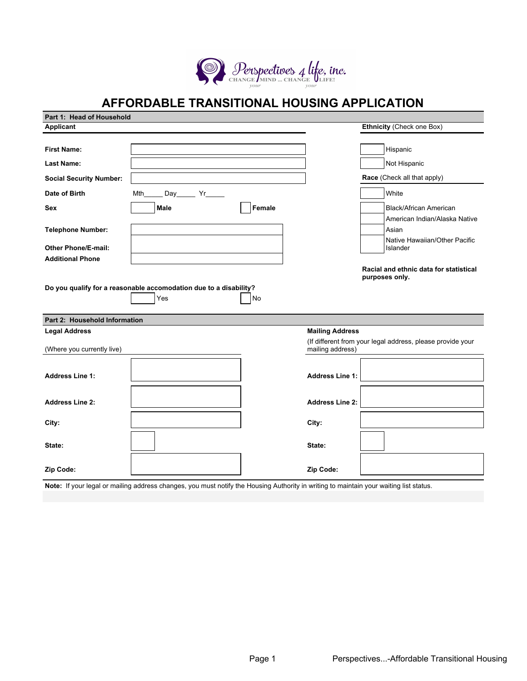

# **AFFORDABLE TRANSITIONAL HOUSING APPLICATION**

| Part 1: Head of Household      |                                                                   |        |                        |                                                            |
|--------------------------------|-------------------------------------------------------------------|--------|------------------------|------------------------------------------------------------|
| Applicant                      |                                                                   |        |                        | Ethnicity (Check one Box)                                  |
|                                |                                                                   |        |                        |                                                            |
| <b>First Name:</b>             |                                                                   |        |                        | Hispanic                                                   |
| <b>Last Name:</b>              |                                                                   |        |                        | Not Hispanic                                               |
| <b>Social Security Number:</b> |                                                                   |        |                        | Race (Check all that apply)                                |
| Date of Birth                  | Mth<br>Day Yr                                                     |        |                        | White                                                      |
| <b>Sex</b>                     | Male                                                              | Female |                        | <b>Black/African American</b>                              |
|                                |                                                                   |        |                        | American Indian/Alaska Native                              |
| <b>Telephone Number:</b>       |                                                                   |        |                        | Asian                                                      |
| <b>Other Phone/E-mail:</b>     |                                                                   |        |                        | Native Hawaiian/Other Pacific<br>Islander                  |
| <b>Additional Phone</b>        |                                                                   |        |                        |                                                            |
|                                |                                                                   |        |                        | Racial and ethnic data for statistical<br>purposes only.   |
|                                | Do you qualify for a reasonable accomodation due to a disability? |        |                        |                                                            |
|                                | Yes                                                               | No     |                        |                                                            |
| Part 2: Household Information  |                                                                   |        |                        |                                                            |
| <b>Legal Address</b>           |                                                                   |        | <b>Mailing Address</b> |                                                            |
| (Where you currently live)     |                                                                   |        | mailing address)       | (If different from your legal address, please provide your |
|                                |                                                                   |        |                        |                                                            |
| <b>Address Line 1:</b>         |                                                                   |        | <b>Address Line 1:</b> |                                                            |
|                                |                                                                   |        |                        |                                                            |
| <b>Address Line 2:</b>         |                                                                   |        | <b>Address Line 2:</b> |                                                            |
| City:                          |                                                                   |        | City:                  |                                                            |
|                                |                                                                   |        |                        |                                                            |
| State:                         |                                                                   |        | State:                 |                                                            |
| Zip Code:                      |                                                                   |        | Zip Code:              |                                                            |

**Note:** If your legal or mailing address changes, you must notify the Housing Authority in writing to maintain your waiting list status.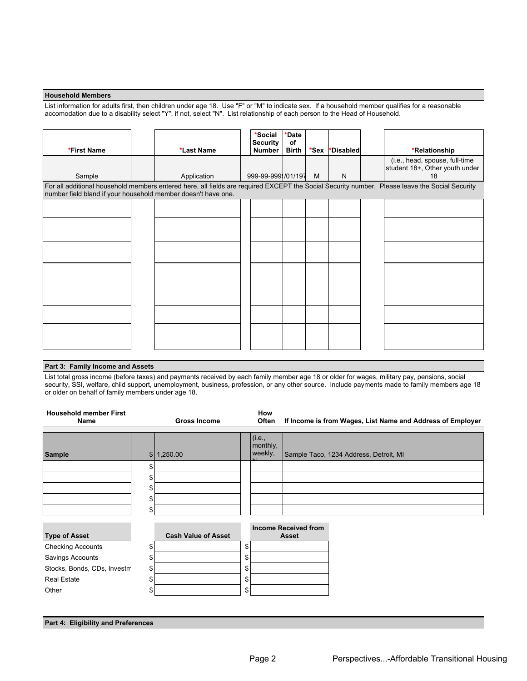### **Household Members**

List information for adults first, then children under age 18. Use "F" or "M" to indicate sex. If a household member qualifies for a reasonable accomodation due to a disability select "Y", if not, select "N". List relationship of each person to the Head of Household.

| *First Name                                                                                                                                                                                                     |  | *Last Name  | *Social<br><b>Security</b><br><b>Number</b> | <b>*Date</b><br>of<br>Birth | $*$ Sex | *Disabled |  | *Relationship                                                          |
|-----------------------------------------------------------------------------------------------------------------------------------------------------------------------------------------------------------------|--|-------------|---------------------------------------------|-----------------------------|---------|-----------|--|------------------------------------------------------------------------|
| Sample                                                                                                                                                                                                          |  | Application | 999-99-999 /01/197                          |                             | M       | N         |  | (i.e., head, spouse, full-time<br>student 18+, Other youth under<br>18 |
| For all additional household members entered here, all fields are required EXCEPT the Social Security number. Please leave the Social Security<br>number field bland if your household member doesn't have one. |  |             |                                             |                             |         |           |  |                                                                        |
|                                                                                                                                                                                                                 |  |             |                                             |                             |         |           |  |                                                                        |
|                                                                                                                                                                                                                 |  |             |                                             |                             |         |           |  |                                                                        |
|                                                                                                                                                                                                                 |  |             |                                             |                             |         |           |  |                                                                        |
|                                                                                                                                                                                                                 |  |             |                                             |                             |         |           |  |                                                                        |
|                                                                                                                                                                                                                 |  |             |                                             |                             |         |           |  |                                                                        |
|                                                                                                                                                                                                                 |  |             |                                             |                             |         |           |  |                                                                        |
|                                                                                                                                                                                                                 |  |             |                                             |                             |         |           |  |                                                                        |

## **Part 3: Family Income and Assets**

List total gross income (before taxes) and payments received by each family member age 18 or older for wages, military pay, pensions, social security, SSI, welfare, child support, unemployment, business, profession, or any other source. Include payments made to family members age 18 or older on behalf of family members under age 18.

| <b>Household member First</b><br>Name |          | <b>Gross Income</b>        | How<br>Often                  | If Income is from Wages, List Name and Address of Employer |
|---------------------------------------|----------|----------------------------|-------------------------------|------------------------------------------------------------|
| Sample                                |          | \$ 1,250.00                | (i.e.,<br>monthly,<br>weekly, | Sample Taco, 1234 Address, Detroit, MI                     |
|                                       | \$<br>\$ |                            |                               |                                                            |
|                                       | \$       |                            |                               |                                                            |
|                                       | \$<br>\$ |                            |                               |                                                            |
|                                       |          |                            |                               | <b>Income Received from</b>                                |
| <b>Type of Asset</b>                  |          | <b>Cash Value of Asset</b> |                               | Asset                                                      |
| <b>Checking Accounts</b>              | \$       |                            | \$                            |                                                            |
| Savings Accounts                      | \$       |                            | \$                            |                                                            |
| Stocks, Bonds, CDs, Investm           | \$       |                            | \$                            |                                                            |
| <b>Real Estate</b>                    | \$       |                            | \$                            |                                                            |
| Other                                 | \$       |                            | \$                            |                                                            |
|                                       |          |                            |                               |                                                            |

**Part 4: Eligibility and Preferences**